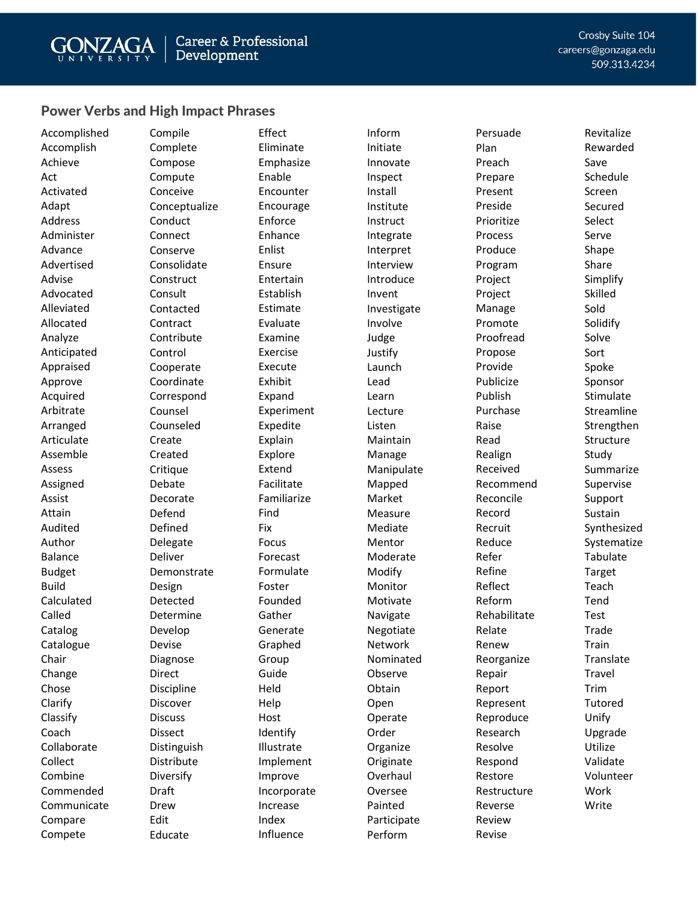## Power Verbs and High Impact Phrases

Accomplished Accomplish Achieve Act Activated Adapt Address Administer Advance Advertised Advise Advocated Alleviated Allocated Analyze Anticipated Appraised Approve Acquired Arbitrate Arranged Articulate Assemble Assess Assigned Assist Attain Audited Author Balance Budget Build Calculated Called Catalog **Catalogue** Chair Change Chose Clarify Classify Coach Collaborate Collect Combine Commended Communicate Compare Compete

Compile Complete Compose Compute Conceive Conceptualize Conduct **Connect** Conserve Consolidate **Construct** Consult Contacted **Contract** Contribute Control Cooperate Coordinate Correspond Counsel Counseled Create Created **Critique** Debate Decorate Defend Defined Delegate Deliver Demonstrate Design Detected Determine Develop Devise Diagnose Direct Discipline Discover **Discuss** Dissect Distinguish Distribute Diversify Draft Drew Edit Educate

Effect Eliminate Emphasize Enable Encounter Encourage Enforce Enhance Enlist Ensure Entertain Establish Estimate Evaluate Examine Exercise Execute Exhibit Expand Experiment Expedite Explain Explore Extend Facilitate Familiarize Find Fix Focus Forecast Formulate Foster Founded Gather Generate Graphed Group Guide Held Help Host Identify Illustrate Implement Improve Incorporate Increase Index Influence

Inform Initiate Innovate Inspect Install Institute **Instruct** Integrate Interpret Interview Introduce Invent Investigate Involve Judge Justify Launch Lead Learn Lecture Listen Maintain Manage Manipulate Mapped Market Measure Mediate Mentor Moderate Modify Monitor Motivate Navigate Negotiate Network Nominated Observe Obtain Open Operate Order Organize **Originate Overhaul** Oversee Painted Participate Perform

Persuade Plan Preach Prepare Present Preside Prioritize Process Produce Program Project Project Manage Promote Proofread Propose Provide Publicize Publish Purchase Raise Read Realign Received Recommend Reconcile Record Recruit Reduce Refer Refine Reflect Reform Rehabilitate Relate Renew Reorganize Repair Report Represent Reproduce Research Resolve Respond Restore Restructure Reverse Review Revise

Crosby Suite 104 careers@gonzaga.edu 509.313.4234

> Revitalize Rewarded Save Schedule Screen Secured Select Serve Shape Share Simplify Skilled Sold Solidify Solve Sort Spoke Sponsor Stimulate Streamline **Strengthen** Structure Study Summarize Supervise Support Sustain Synthesized Systematize Tabulate Target Teach Tend Test Trade Train Translate Travel Trim Tutored Unify Upgrade Utilize Validate Volunteer Work Write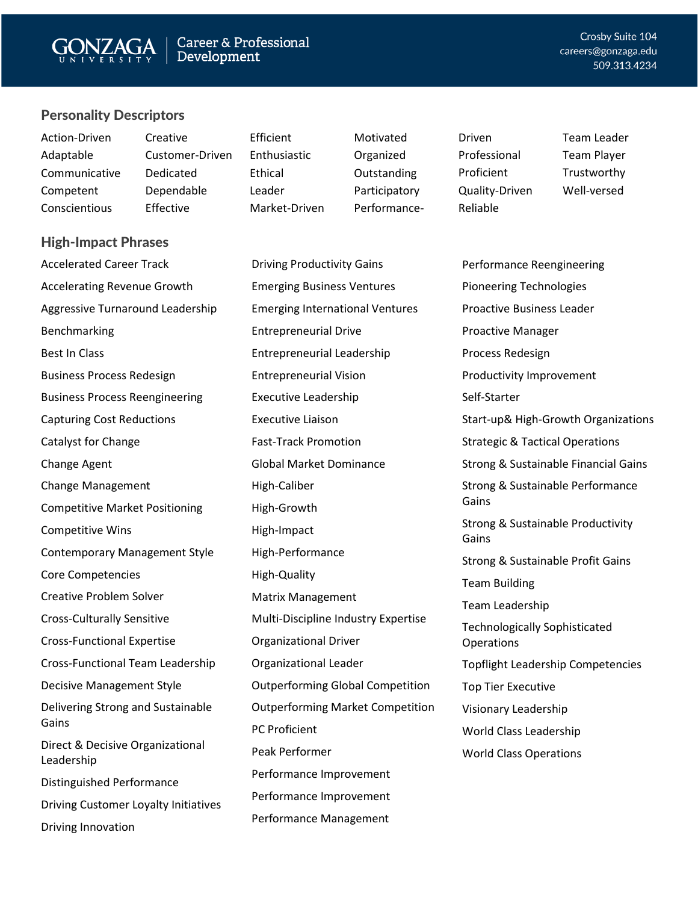## Personality Descriptors

| Action-Driven | Creative        | Efficient     | Motivated     | Driven         | <b>Team Leader</b> |
|---------------|-----------------|---------------|---------------|----------------|--------------------|
| Adaptable     | Customer-Driven | Enthusiastic  | Organized     | Professional   | <b>Team Player</b> |
| Communicative | Dedicated       | Ethical       | Outstanding   | Proficient     | Trustworthy        |
| Competent     | Dependable      | Leader        | Participatory | Quality-Driven | Well-versed        |
| Conscientious | Effective       | Market-Driven | Performance-  | Reliable       |                    |

### High-Impact Phrases

Accelerated Career Track Accelerating Revenue Growth Aggressive Turnaround Leadership Benchmarking Best In Class Business Process Redesign Business Process Reengineering Capturing Cost Reductions Catalyst for Change Change Agent Change Management Competitive Market Positioning Competitive Wins Contemporary Management Style Core Competencies Creative Problem Solver Cross-Culturally Sensitive Cross-Functional Expertise Cross-Functional Team Leadership Decisive Management Style Delivering Strong and Sustainable Gains Direct & Decisive Organizational Leadership Distinguished Performance Driving Customer Loyalty Initiatives Driving Innovation

Driving Productivity Gains Emerging Business Ventures Emerging International Ventures Entrepreneurial Drive Entrepreneurial Leadership Entrepreneurial Vision Executive Leadership Executive Liaison Fast-Track Promotion Global Market Dominance High-Caliber High-Growth High-Impact High-Performance High-Quality Matrix Management Multi-Discipline Industry Expertise Organizational Driver Organizational Leader Outperforming Global Competition Outperforming Market Competition PC Proficient Peak Performer Performance Improvement Performance Improvement Performance Management

Performance Reengineering Pioneering Technologies Proactive Business Leader Proactive Manager Process Redesign Productivity Improvement Self-Starter Start-up& High-Growth Organizations Strategic & Tactical Operations Strong & Sustainable Financial Gains Strong & Sustainable Performance Gains Strong & Sustainable Productivity Gains Strong & Sustainable Profit Gains Team Building Team Leadership Technologically Sophisticated **Operations** Topflight Leadership Competencies Top Tier Executive Visionary Leadership World Class Leadership World Class Operations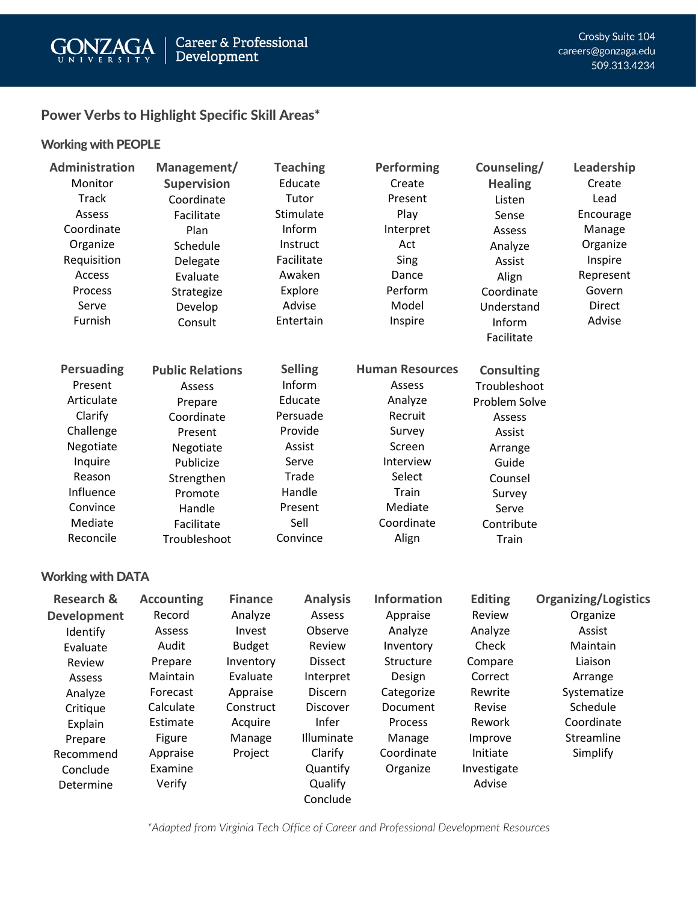

## Power Verbs to Highlight Specific Skill Areas\*

## Working with PEOPLE

| <b>Administration</b><br>Monitor<br><b>Track</b><br>Assess<br>Coordinate<br>Organize<br>Requisition<br>Access<br>Process<br>Serve<br>Furnish | Management/<br><b>Supervision</b><br>Coordinate<br>Facilitate<br>Plan<br>Schedule<br>Delegate<br>Evaluate<br>Strategize<br>Develop<br>Consult | <b>Teaching</b><br>Educate<br>Tutor<br>Stimulate<br>Inform<br>Instruct<br>Facilitate<br>Awaken<br>Explore<br>Advise<br>Entertain | Performing<br>Create<br>Present<br>Play<br>Interpret<br>Act<br>Sing<br>Dance<br>Perform<br>Model<br>Inspire | Counseling/<br><b>Healing</b><br>Listen<br>Sense<br>Assess<br>Analyze<br>Assist<br>Align<br>Coordinate<br>Understand<br>Inform<br>Facilitate | Leadership<br>Create<br>Lead<br>Encourage<br>Manage<br>Organize<br>Inspire<br>Represent<br>Govern<br><b>Direct</b><br>Advise |
|----------------------------------------------------------------------------------------------------------------------------------------------|-----------------------------------------------------------------------------------------------------------------------------------------------|----------------------------------------------------------------------------------------------------------------------------------|-------------------------------------------------------------------------------------------------------------|----------------------------------------------------------------------------------------------------------------------------------------------|------------------------------------------------------------------------------------------------------------------------------|
| <b>Persuading</b>                                                                                                                            | <b>Public Relations</b>                                                                                                                       | <b>Selling</b>                                                                                                                   | <b>Human Resources</b>                                                                                      | <b>Consulting</b>                                                                                                                            |                                                                                                                              |
| Present                                                                                                                                      | Assess                                                                                                                                        | Inform                                                                                                                           | Assess                                                                                                      | Troubleshoot                                                                                                                                 |                                                                                                                              |
| Articulate                                                                                                                                   | Prepare                                                                                                                                       | Educate                                                                                                                          | Analyze                                                                                                     | Problem Solve                                                                                                                                |                                                                                                                              |
| Clarify                                                                                                                                      | Coordinate                                                                                                                                    | Persuade                                                                                                                         | Recruit                                                                                                     | Assess                                                                                                                                       |                                                                                                                              |
| Challenge                                                                                                                                    | Present                                                                                                                                       | Provide                                                                                                                          | Survey                                                                                                      | Assist                                                                                                                                       |                                                                                                                              |
| Negotiate                                                                                                                                    | Negotiate                                                                                                                                     | Assist                                                                                                                           | Screen                                                                                                      | Arrange                                                                                                                                      |                                                                                                                              |
| Inquire                                                                                                                                      | Publicize                                                                                                                                     | Serve                                                                                                                            | Interview                                                                                                   | Guide                                                                                                                                        |                                                                                                                              |
| Reason                                                                                                                                       | Strengthen                                                                                                                                    | Trade                                                                                                                            | Select                                                                                                      | Counsel                                                                                                                                      |                                                                                                                              |
| Influence                                                                                                                                    | Promote                                                                                                                                       | Handle                                                                                                                           | Train                                                                                                       | Survey                                                                                                                                       |                                                                                                                              |
| Convince                                                                                                                                     | Handle                                                                                                                                        | Present                                                                                                                          | Mediate                                                                                                     | Serve                                                                                                                                        |                                                                                                                              |
| Mediate                                                                                                                                      | Facilitate                                                                                                                                    | Sell                                                                                                                             | Coordinate                                                                                                  | Contribute                                                                                                                                   |                                                                                                                              |
| Reconcile                                                                                                                                    | Troubleshoot                                                                                                                                  | Convince                                                                                                                         | Align                                                                                                       | Train                                                                                                                                        |                                                                                                                              |

## Working with DATA

| <b>Research &amp;</b> | <b>Accounting</b> | <b>Finance</b> | <b>Analysis</b> | <b>Information</b> | <b>Editing</b> | <b>Organizing/Logistics</b> |
|-----------------------|-------------------|----------------|-----------------|--------------------|----------------|-----------------------------|
| <b>Development</b>    | Record            | Analyze        | Assess          | Appraise           | Review         | Organize                    |
| Identify              | Assess            | Invest         | Observe         | Analyze            | Analyze        | Assist                      |
| Evaluate              | Audit             | <b>Budget</b>  | Review          | Inventory          | Check          | Maintain                    |
| Review                | Prepare           | Inventory      | <b>Dissect</b>  | Structure          | Compare        | Liaison                     |
| Assess                | Maintain          | Evaluate       | Interpret       | Design             | Correct        | Arrange                     |
| Analyze               | Forecast          | Appraise       | <b>Discern</b>  | Categorize         | Rewrite        | Systematize                 |
| Critique              | Calculate         | Construct      | Discover        | Document           | Revise         | Schedule                    |
| Explain               | Estimate          | Acquire        | Infer           | Process            | Rework         | Coordinate                  |
| Prepare               | Figure            | Manage         | Illuminate      | Manage             | Improve        | Streamline                  |
| Recommend             | Appraise          | Project        | Clarify         | Coordinate         | Initiate       | Simplify                    |
| Conclude              | Examine           |                | Quantify        | Organize           | Investigate    |                             |
| Determine             | Verify            |                | Qualify         |                    | Advise         |                             |
|                       |                   |                | Conclude        |                    |                |                             |

*\*Adapted from Virginia Tech Office of Career and Professional Development Resources*